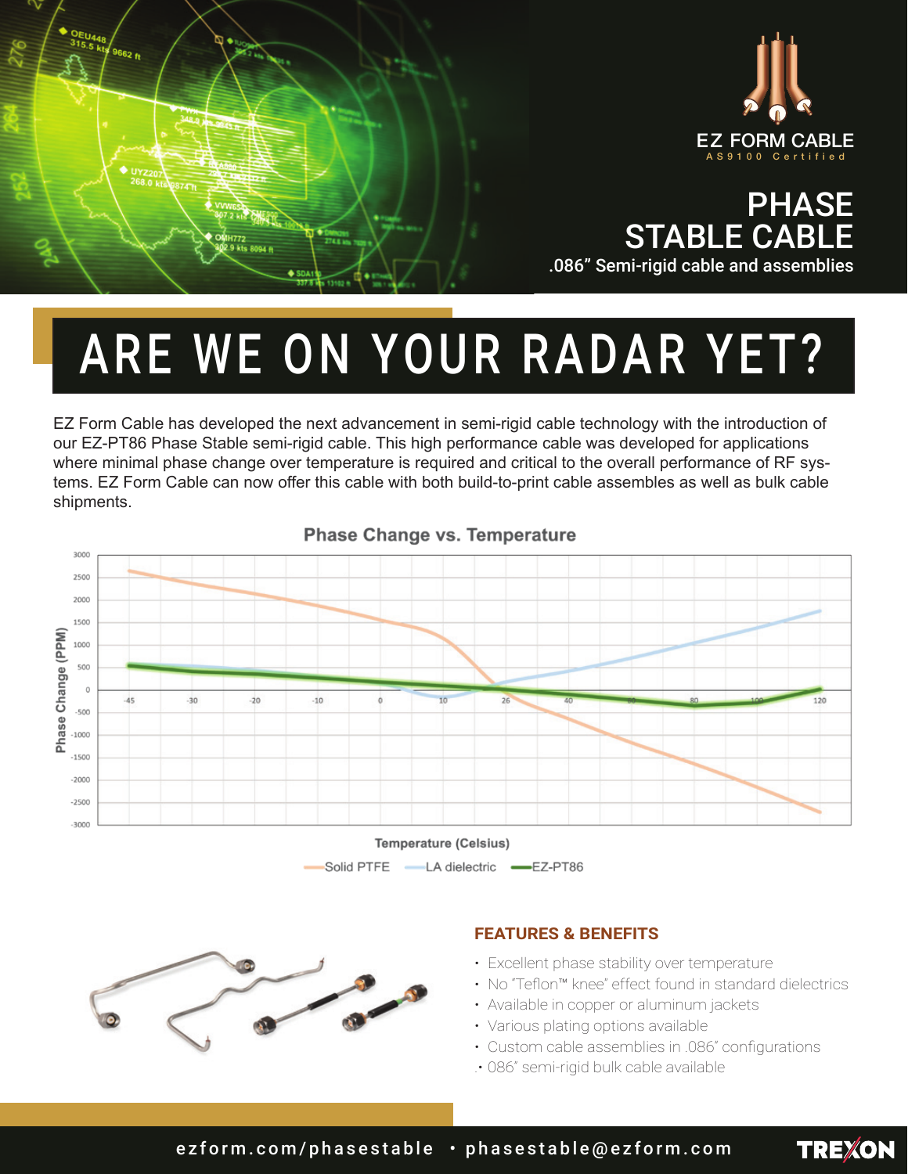





## ARE WE ON YOUR RADAR YET?

EZ Form Cable has developed the next advancement in semi-rigid cable technology with the introduction of our EZ-PT86 Phase Stable semi-rigid cable. This high performance cable was developed for applications where minimal phase change over temperature is required and critical to the overall performance of RF systems. EZ Form Cable can now offer this cable with both build-to-print cable assembles as well as bulk cable shipments.



**Phase Change vs. Temperature** 





## **FEATURES & BENEFITS**

- Excellent phase stability over temperature
- • No "Teflon™ knee" effect found in standard dielectrics

**TREXON** 

- Available in copper or aluminum jackets
- Various plating options available
- Custom cable assemblies in .086" configurations
- .• 086" semi-rigid bulk cable available